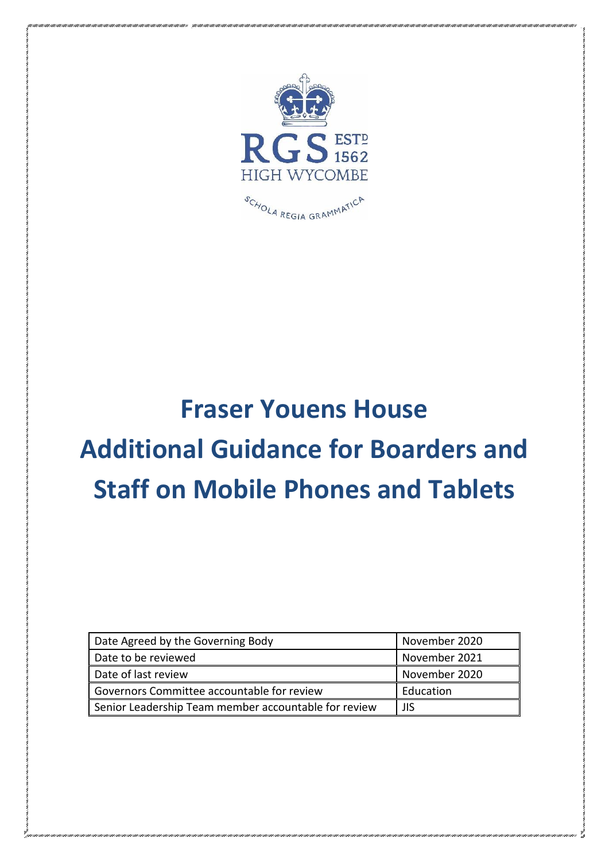

## **Fraser Youens House Additional Guidance for Boarders and Staff on Mobile Phones and Tablets**

| Date Agreed by the Governing Body                    | November 2020 |
|------------------------------------------------------|---------------|
| Date to be reviewed                                  | November 2021 |
| Date of last review                                  | November 2020 |
| Governors Committee accountable for review           | Education     |
| Senior Leadership Team member accountable for review | ll JIS        |